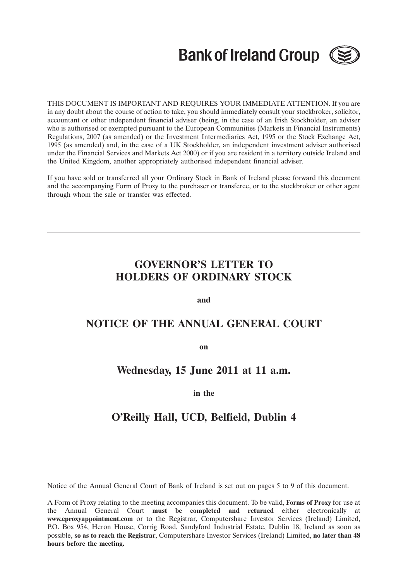# **Bank of Ireland Group (**



THIS DOCUMENT IS IMPORTANT AND REQUIRES YOUR IMMEDIATE ATTENTION. If you are in any doubt about the course of action to take, you should immediately consult your stockbroker, solicitor, accountant or other independent financial adviser (being, in the case of an Irish Stockholder, an adviser who is authorised or exempted pursuant to the European Communities (Markets in Financial Instruments) Regulations, 2007 (as amended) or the Investment Intermediaries Act, 1995 or the Stock Exchange Act, 1995 (as amended) and, in the case of a UK Stockholder, an independent investment adviser authorised under the Financial Services and Markets Act 2000) or if you are resident in a territory outside Ireland and the United Kingdom, another appropriately authorised independent financial adviser.

If you have sold or transferred all your Ordinary Stock in Bank of Ireland please forward this document and the accompanying Form of Proxy to the purchaser or transferee, or to the stockbroker or other agent through whom the sale or transfer was effected.

# **GOVERNOR'S LETTER TO HOLDERS OF ORDINARY STOCK**

**and**

# **NOTICE OF THE ANNUAL GENERAL COURT**

**on**

# **Wednesday, 15 June 2011 at 11 a.m.**

**in the**

# **O'Reilly Hall, UCD, Belfield, Dublin 4**

Notice of the Annual General Court of Bank of Ireland is set out on pages 5 to 9 of this document.

A Form of Proxy relating to the meeting accompanies this document. To be valid, **Forms of Proxy** for use at the Annual General Court **must be completed and returned** either electronically at **www.eproxyappointment.com** or to the Registrar, Computershare Investor Services (Ireland) Limited, P.O. Box 954, Heron House, Corrig Road, Sandyford Industrial Estate, Dublin 18, Ireland as soon as possible, **so as to reach the Registrar**, Computershare Investor Services (Ireland) Limited, **no later than 48 hours before the meeting.**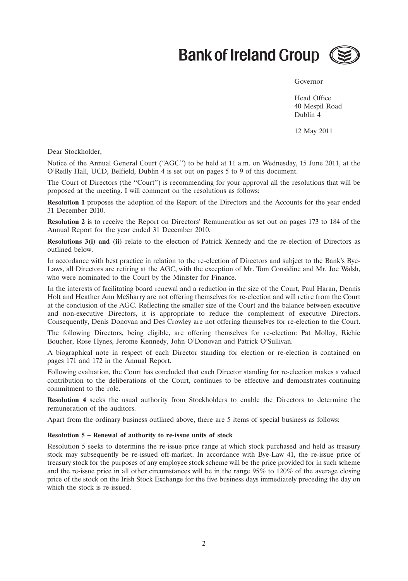# **Bank of Ireland Group (**



#### Governor

Head Office 40 Mespil Road Dublin 4

12 May 2011

Dear Stockholder,

Notice of the Annual General Court (''AGC'') to be held at 11 a.m. on Wednesday, 15 June 2011, at the O'Reilly Hall, UCD, Belfield, Dublin 4 is set out on pages 5 to 9 of this document.

The Court of Directors (the ''Court'') is recommending for your approval all the resolutions that will be proposed at the meeting. I will comment on the resolutions as follows:

**Resolution 1** proposes the adoption of the Report of the Directors and the Accounts for the year ended 31 December 2010.

**Resolution 2** is to receive the Report on Directors' Remuneration as set out on pages 173 to 184 of the Annual Report for the year ended 31 December 2010.

**Resolutions 3(i) and (ii)** relate to the election of Patrick Kennedy and the re-election of Directors as outlined below.

In accordance with best practice in relation to the re-election of Directors and subject to the Bank's Bye-Laws, all Directors are retiring at the AGC, with the exception of Mr. Tom Considine and Mr. Joe Walsh, who were nominated to the Court by the Minister for Finance.

In the interests of facilitating board renewal and a reduction in the size of the Court, Paul Haran, Dennis Holt and Heather Ann McSharry are not offering themselves for re-election and will retire from the Court at the conclusion of the AGC. Reflecting the smaller size of the Court and the balance between executive and non-executive Directors, it is appropriate to reduce the complement of executive Directors. Consequently, Denis Donovan and Des Crowley are not offering themselves for re-election to the Court.

The following Directors, being eligible, are offering themselves for re-election: Pat Molloy, Richie Boucher, Rose Hynes, Jerome Kennedy, John O'Donovan and Patrick O'Sullivan.

A biographical note in respect of each Director standing for election or re-election is contained on pages 171 and 172 in the Annual Report.

Following evaluation, the Court has concluded that each Director standing for re-election makes a valued contribution to the deliberations of the Court, continues to be effective and demonstrates continuing commitment to the role.

**Resolution 4** seeks the usual authority from Stockholders to enable the Directors to determine the remuneration of the auditors.

Apart from the ordinary business outlined above, there are 5 items of special business as follows:

#### **Resolution 5 – Renewal of authority to re-issue units of stock**

Resolution 5 seeks to determine the re-issue price range at which stock purchased and held as treasury stock may subsequently be re-issued off-market. In accordance with Bye-Law 41, the re-issue price of treasury stock for the purposes of any employee stock scheme will be the price provided for in such scheme and the re-issue price in all other circumstances will be in the range 95% to 120% of the average closing price of the stock on the Irish Stock Exchange for the five business days immediately preceding the day on which the stock is re-issued.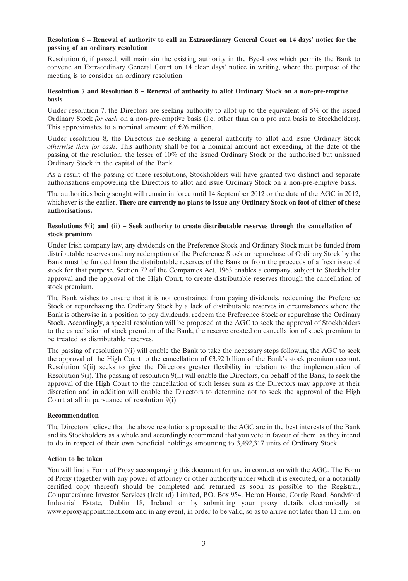### **Resolution 6 – Renewal of authority to call an Extraordinary General Court on 14 days' notice for the passing of an ordinary resolution**

Resolution 6, if passed, will maintain the existing authority in the Bye-Laws which permits the Bank to convene an Extraordinary General Court on 14 clear days' notice in writing, where the purpose of the meeting is to consider an ordinary resolution.

### **Resolution 7 and Resolution 8 – Renewal of authority to allot Ordinary Stock on a non-pre-emptive basis**

Under resolution 7, the Directors are seeking authority to allot up to the equivalent of 5% of the issued Ordinary Stock *for cash* on a non-pre-emptive basis (i.e. other than on a pro rata basis to Stockholders). This approximates to a nominal amount of  $E26$  million.

Under resolution 8, the Directors are seeking a general authority to allot and issue Ordinary Stock *otherwise than for cash*. This authority shall be for a nominal amount not exceeding, at the date of the passing of the resolution, the lesser of 10% of the issued Ordinary Stock or the authorised but unissued Ordinary Stock in the capital of the Bank.

As a result of the passing of these resolutions, Stockholders will have granted two distinct and separate authorisations empowering the Directors to allot and issue Ordinary Stock on a non-pre-emptive basis.

The authorities being sought will remain in force until 14 September 2012 or the date of the AGC in 2012, whichever is the earlier. **There are currently no plans to issue any Ordinary Stock on foot of either of these authorisations.**

### **Resolutions 9(i) and (ii) – Seek authority to create distributable reserves through the cancellation of stock premium**

Under Irish company law, any dividends on the Preference Stock and Ordinary Stock must be funded from distributable reserves and any redemption of the Preference Stock or repurchase of Ordinary Stock by the Bank must be funded from the distributable reserves of the Bank or from the proceeds of a fresh issue of stock for that purpose. Section 72 of the Companies Act, 1963 enables a company, subject to Stockholder approval and the approval of the High Court, to create distributable reserves through the cancellation of stock premium.

The Bank wishes to ensure that it is not constrained from paying dividends, redeeming the Preference Stock or repurchasing the Ordinary Stock by a lack of distributable reserves in circumstances where the Bank is otherwise in a position to pay dividends, redeem the Preference Stock or repurchase the Ordinary Stock. Accordingly, a special resolution will be proposed at the AGC to seek the approval of Stockholders to the cancellation of stock premium of the Bank, the reserve created on cancellation of stock premium to be treated as distributable reserves.

The passing of resolution  $9(i)$  will enable the Bank to take the necessary steps following the AGC to seek the approval of the High Court to the cancellation of  $\epsilon$ 3.92 billion of the Bank's stock premium account. Resolution 9(ii) seeks to give the Directors greater flexibility in relation to the implementation of Resolution 9(i). The passing of resolution 9(ii) will enable the Directors, on behalf of the Bank, to seek the approval of the High Court to the cancellation of such lesser sum as the Directors may approve at their discretion and in addition will enable the Directors to determine not to seek the approval of the High Court at all in pursuance of resolution 9(i).

### **Recommendation**

The Directors believe that the above resolutions proposed to the AGC are in the best interests of the Bank and its Stockholders as a whole and accordingly recommend that you vote in favour of them, as they intend to do in respect of their own beneficial holdings amounting to 3,492,317 units of Ordinary Stock.

### **Action to be taken**

You will find a Form of Proxy accompanying this document for use in connection with the AGC. The Form of Proxy (together with any power of attorney or other authority under which it is executed, or a notarially certified copy thereof) should be completed and returned as soon as possible to the Registrar, Computershare Investor Services (Ireland) Limited, P.O. Box 954, Heron House, Corrig Road, Sandyford Industrial Estate, Dublin 18, Ireland or by submitting your proxy details electronically at www.eproxyappointment.com and in any event, in order to be valid, so as to arrive not later than 11 a.m. on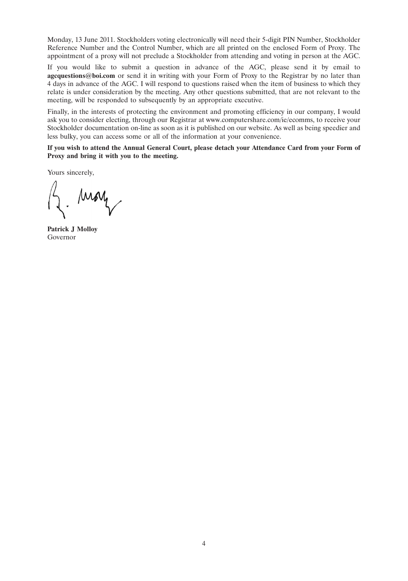Monday, 13 June 2011. Stockholders voting electronically will need their 5-digit PIN Number, Stockholder Reference Number and the Control Number, which are all printed on the enclosed Form of Proxy. The appointment of a proxy will not preclude a Stockholder from attending and voting in person at the AGC.

If you would like to submit a question in advance of the AGC, please send it by email to **agcquestions@boi.com** or send it in writing with your Form of Proxy to the Registrar by no later than 4 days in advance of the AGC. I will respond to questions raised when the item of business to which they relate is under consideration by the meeting. Any other questions submitted, that are not relevant to the meeting, will be responded to subsequently by an appropriate executive.

Finally, in the interests of protecting the environment and promoting efficiency in our company, I would ask you to consider electing, through our Registrar at www.computershare.com/ie/ecomms, to receive your Stockholder documentation on-line as soon as it is published on our website. As well as being speedier and less bulky, you can access some or all of the information at your convenience.

**If you wish to attend the Annual General Court, please detach your Attendance Card from your Form of Proxy and bring it with you to the meeting.**

Yours sincerely,

Moy

**Patrick J Molloy** Governor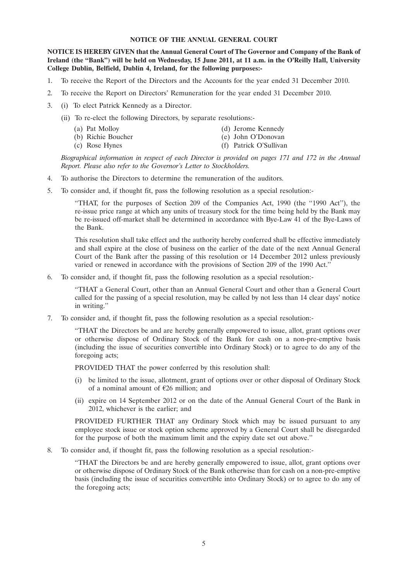#### **NOTICE OF THE ANNUAL GENERAL COURT**

**NOTICE IS HEREBY GIVEN that the Annual General Court of The Governor and Company of the Bank of Ireland (the ''Bank'') will be held on Wednesday, 15 June 2011, at 11 a.m. in the O'Reilly Hall, University College Dublin, Belfield, Dublin 4, Ireland, for the following purposes:-**

- 1. To receive the Report of the Directors and the Accounts for the year ended 31 December 2010.
- 2. To receive the Report on Directors' Remuneration for the year ended 31 December 2010.
- 3. (i) To elect Patrick Kennedy as a Director.
	- (ii) To re-elect the following Directors, by separate resolutions:-
		- (a) Pat Molloy (d) Jerome Kennedy (b) Richie Boucher (e) John O'Donovan (c) Rose Hynes (f) Patrick O'Sullivan

*Biographical information in respect of each Director is provided on pages 171 and 172 in the Annual Report. Please also refer to the Governor's Letter to Stockholders.*

- 4. To authorise the Directors to determine the remuneration of the auditors.
- 5. To consider and, if thought fit, pass the following resolution as a special resolution:-

''THAT, for the purposes of Section 209 of the Companies Act, 1990 (the ''1990 Act''), the re-issue price range at which any units of treasury stock for the time being held by the Bank may be re-issued off-market shall be determined in accordance with Bye-Law 41 of the Bye-Laws of the Bank.

This resolution shall take effect and the authority hereby conferred shall be effective immediately and shall expire at the close of business on the earlier of the date of the next Annual General Court of the Bank after the passing of this resolution or 14 December 2012 unless previously varied or renewed in accordance with the provisions of Section 209 of the 1990 Act.''

6. To consider and, if thought fit, pass the following resolution as a special resolution:-

''THAT a General Court, other than an Annual General Court and other than a General Court called for the passing of a special resolution, may be called by not less than 14 clear days' notice in writing.''

7. To consider and, if thought fit, pass the following resolution as a special resolution:-

''THAT the Directors be and are hereby generally empowered to issue, allot, grant options over or otherwise dispose of Ordinary Stock of the Bank for cash on a non-pre-emptive basis (including the issue of securities convertible into Ordinary Stock) or to agree to do any of the foregoing acts;

PROVIDED THAT the power conferred by this resolution shall:

- (i) be limited to the issue, allotment, grant of options over or other disposal of Ordinary Stock of a nominal amount of  $E26$  million; and
- (ii) expire on 14 September 2012 or on the date of the Annual General Court of the Bank in 2012, whichever is the earlier; and

PROVIDED FURTHER THAT any Ordinary Stock which may be issued pursuant to any employee stock issue or stock option scheme approved by a General Court shall be disregarded for the purpose of both the maximum limit and the expiry date set out above.''

8. To consider and, if thought fit, pass the following resolution as a special resolution:-

''THAT the Directors be and are hereby generally empowered to issue, allot, grant options over or otherwise dispose of Ordinary Stock of the Bank otherwise than for cash on a non-pre-emptive basis (including the issue of securities convertible into Ordinary Stock) or to agree to do any of the foregoing acts;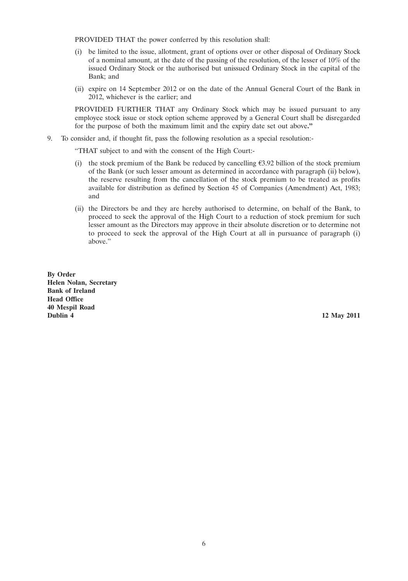PROVIDED THAT the power conferred by this resolution shall:

- (i) be limited to the issue, allotment, grant of options over or other disposal of Ordinary Stock of a nominal amount, at the date of the passing of the resolution, of the lesser of 10% of the issued Ordinary Stock or the authorised but unissued Ordinary Stock in the capital of the Bank; and
- (ii) expire on 14 September 2012 or on the date of the Annual General Court of the Bank in 2012, whichever is the earlier; and

PROVIDED FURTHER THAT any Ordinary Stock which may be issued pursuant to any employee stock issue or stock option scheme approved by a General Court shall be disregarded for the purpose of both the maximum limit and the expiry date set out above**.''**

9. To consider and, if thought fit, pass the following resolution as a special resolution:-

''THAT subject to and with the consent of the High Court:-

- (i) the stock premium of the Bank be reduced by cancelling  $\epsilon$ 3.92 billion of the stock premium of the Bank (or such lesser amount as determined in accordance with paragraph (ii) below), the reserve resulting from the cancellation of the stock premium to be treated as profits available for distribution as defined by Section 45 of Companies (Amendment) Act, 1983; and
- (ii) the Directors be and they are hereby authorised to determine, on behalf of the Bank, to proceed to seek the approval of the High Court to a reduction of stock premium for such lesser amount as the Directors may approve in their absolute discretion or to determine not to proceed to seek the approval of the High Court at all in pursuance of paragraph (i) above.''

**By Order Helen Nolan, Secretary Bank of Ireland Head Office 40 Mespil Road Dublin 4 12 May 2011**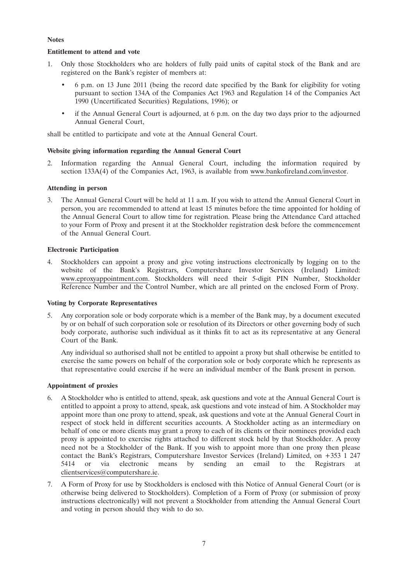# **Notes**

# **Entitlement to attend and vote**

- 1. Only those Stockholders who are holders of fully paid units of capital stock of the Bank and are registered on the Bank's register of members at:
	- 6 p.m. on 13 June 2011 (being the record date specified by the Bank for eligibility for voting pursuant to section 134A of the Companies Act 1963 and Regulation 14 of the Companies Act 1990 (Uncertificated Securities) Regulations, 1996); or
	- if the Annual General Court is adjourned, at 6 p.m. on the day two days prior to the adjourned Annual General Court,

shall be entitled to participate and vote at the Annual General Court.

# **Website giving information regarding the Annual General Court**

2. Information regarding the Annual General Court, including the information required by section 133A(4) of the Companies Act, 1963, is available from www.bankofireland.com/investor.

# **Attending in person**

3. The Annual General Court will be held at 11 a.m. If you wish to attend the Annual General Court in person, you are recommended to attend at least 15 minutes before the time appointed for holding of the Annual General Court to allow time for registration. Please bring the Attendance Card attached to your Form of Proxy and present it at the Stockholder registration desk before the commencement of the Annual General Court.

### **Electronic Participation**

4. Stockholders can appoint a proxy and give voting instructions electronically by logging on to the website of the Bank's Registrars, Computershare Investor Services (Ireland) Limited: www.eproxyappointment.com. Stockholders will need their 5-digit PIN Number, Stockholder Reference Number and the Control Number, which are all printed on the enclosed Form of Proxy.

### **Voting by Corporate Representatives**

5. Any corporation sole or body corporate which is a member of the Bank may, by a document executed by or on behalf of such corporation sole or resolution of its Directors or other governing body of such body corporate, authorise such individual as it thinks fit to act as its representative at any General Court of the Bank.

Any individual so authorised shall not be entitled to appoint a proxy but shall otherwise be entitled to exercise the same powers on behalf of the corporation sole or body corporate which he represents as that representative could exercise if he were an individual member of the Bank present in person.

### **Appointment of proxies**

- 6. A Stockholder who is entitled to attend, speak, ask questions and vote at the Annual General Court is entitled to appoint a proxy to attend, speak, ask questions and vote instead of him. A Stockholder may appoint more than one proxy to attend, speak, ask questions and vote at the Annual General Court in respect of stock held in different securities accounts. A Stockholder acting as an intermediary on behalf of one or more clients may grant a proxy to each of its clients or their nominees provided each proxy is appointed to exercise rights attached to different stock held by that Stockholder. A proxy need not be a Stockholder of the Bank. If you wish to appoint more than one proxy then please contact the Bank's Registrars, Computershare Investor Services (Ireland) Limited, on +353 1 247 5414 or via electronic means by sending an email to the Registrars at clientservices@computershare.ie.
- 7. A Form of Proxy for use by Stockholders is enclosed with this Notice of Annual General Court (or is otherwise being delivered to Stockholders). Completion of a Form of Proxy (or submission of proxy instructions electronically) will not prevent a Stockholder from attending the Annual General Court and voting in person should they wish to do so.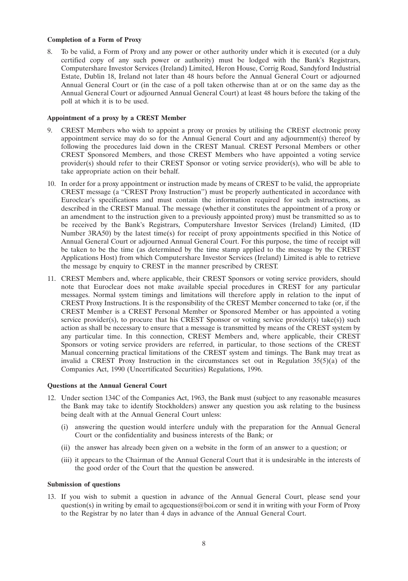#### **Completion of a Form of Proxy**

8. To be valid, a Form of Proxy and any power or other authority under which it is executed (or a duly certified copy of any such power or authority) must be lodged with the Bank's Registrars, Computershare Investor Services (Ireland) Limited, Heron House, Corrig Road, Sandyford Industrial Estate, Dublin 18, Ireland not later than 48 hours before the Annual General Court or adjourned Annual General Court or (in the case of a poll taken otherwise than at or on the same day as the Annual General Court or adjourned Annual General Court) at least 48 hours before the taking of the poll at which it is to be used.

#### **Appointment of a proxy by a CREST Member**

- 9. CREST Members who wish to appoint a proxy or proxies by utilising the CREST electronic proxy appointment service may do so for the Annual General Court and any adjournment(s) thereof by following the procedures laid down in the CREST Manual. CREST Personal Members or other CREST Sponsored Members, and those CREST Members who have appointed a voting service provider(s) should refer to their CREST Sponsor or voting service provider(s), who will be able to take appropriate action on their behalf.
- 10. In order for a proxy appointment or instruction made by means of CREST to be valid, the appropriate CREST message (a ''CREST Proxy Instruction'') must be properly authenticated in accordance with Euroclear's specifications and must contain the information required for such instructions, as described in the CREST Manual. The message (whether it constitutes the appointment of a proxy or an amendment to the instruction given to a previously appointed proxy) must be transmitted so as to be received by the Bank's Registrars, Computershare Investor Services (Ireland) Limited, (ID Number 3RA50) by the latest time(s) for receipt of proxy appointments specified in this Notice of Annual General Court or adjourned Annual General Court. For this purpose, the time of receipt will be taken to be the time (as determined by the time stamp applied to the message by the CREST Applications Host) from which Computershare Investor Services (Ireland) Limited is able to retrieve the message by enquiry to CREST in the manner prescribed by CREST.
- 11. CREST Members and, where applicable, their CREST Sponsors or voting service providers, should note that Euroclear does not make available special procedures in CREST for any particular messages. Normal system timings and limitations will therefore apply in relation to the input of CREST Proxy Instructions. It is the responsibility of the CREST Member concerned to take (or, if the CREST Member is a CREST Personal Member or Sponsored Member or has appointed a voting service provider(s), to procure that his CREST Sponsor or voting service provider(s) take(s)) such action as shall be necessary to ensure that a message is transmitted by means of the CREST system by any particular time. In this connection, CREST Members and, where applicable, their CREST Sponsors or voting service providers are referred, in particular, to those sections of the CREST Manual concerning practical limitations of the CREST system and timings. The Bank may treat as invalid a CREST Proxy Instruction in the circumstances set out in Regulation  $35(5)(a)$  of the Companies Act, 1990 (Uncertificated Securities) Regulations, 1996.

### **Questions at the Annual General Court**

- 12. Under section 134C of the Companies Act, 1963, the Bank must (subject to any reasonable measures the Bank may take to identify Stockholders) answer any question you ask relating to the business being dealt with at the Annual General Court unless:
	- (i) answering the question would interfere unduly with the preparation for the Annual General Court or the confidentiality and business interests of the Bank; or
	- (ii) the answer has already been given on a website in the form of an answer to a question; or
	- (iii) it appears to the Chairman of the Annual General Court that it is undesirable in the interests of the good order of the Court that the question be answered.

#### **Submission of questions**

13. If you wish to submit a question in advance of the Annual General Court, please send your question(s) in writing by email to agcquestions@boi.com or send it in writing with your Form of Proxy to the Registrar by no later than 4 days in advance of the Annual General Court.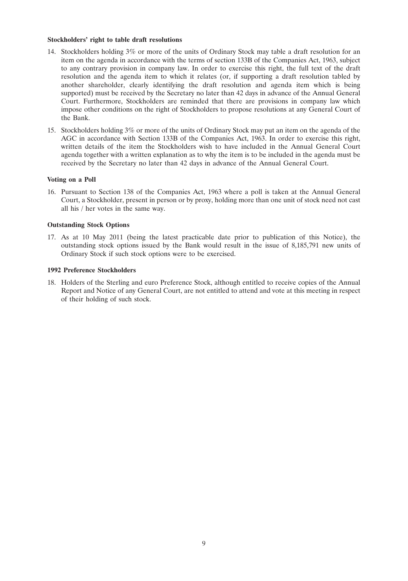#### **Stockholders' right to table draft resolutions**

- 14. Stockholders holding 3% or more of the units of Ordinary Stock may table a draft resolution for an item on the agenda in accordance with the terms of section 133B of the Companies Act, 1963, subject to any contrary provision in company law. In order to exercise this right, the full text of the draft resolution and the agenda item to which it relates (or, if supporting a draft resolution tabled by another shareholder, clearly identifying the draft resolution and agenda item which is being supported) must be received by the Secretary no later than 42 days in advance of the Annual General Court. Furthermore, Stockholders are reminded that there are provisions in company law which impose other conditions on the right of Stockholders to propose resolutions at any General Court of the Bank.
- 15. Stockholders holding 3% or more of the units of Ordinary Stock may put an item on the agenda of the AGC in accordance with Section 133B of the Companies Act, 1963. In order to exercise this right, written details of the item the Stockholders wish to have included in the Annual General Court agenda together with a written explanation as to why the item is to be included in the agenda must be received by the Secretary no later than 42 days in advance of the Annual General Court.

#### **Voting on a Poll**

16. Pursuant to Section 138 of the Companies Act, 1963 where a poll is taken at the Annual General Court, a Stockholder, present in person or by proxy, holding more than one unit of stock need not cast all his / her votes in the same way.

#### **Outstanding Stock Options**

17. As at 10 May 2011 (being the latest practicable date prior to publication of this Notice), the outstanding stock options issued by the Bank would result in the issue of 8,185,791 new units of Ordinary Stock if such stock options were to be exercised.

# **1992 Preference Stockholders**

18. Holders of the Sterling and euro Preference Stock, although entitled to receive copies of the Annual Report and Notice of any General Court, are not entitled to attend and vote at this meeting in respect of their holding of such stock.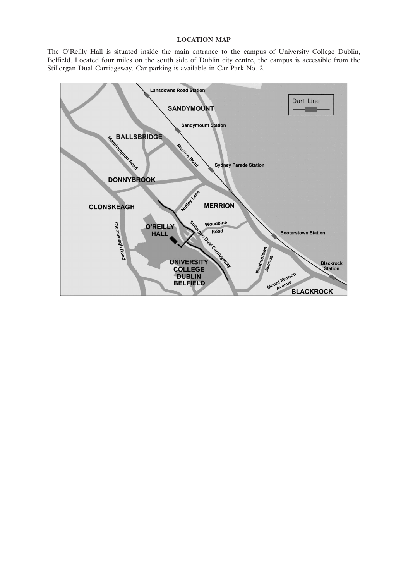## **LOCATION MAP**

The O'Reilly Hall is situated inside the main entrance to the campus of University College Dublin, Belfield. Located four miles on the south side of Dublin city centre, the campus is accessible from the Stillorgan Dual Carriageway. Car parking is available in Car Park No. 2.